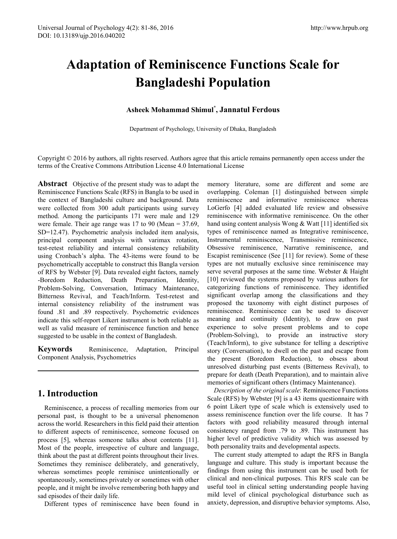# **Adaptation of Reminiscence Functions Scale for Bangladeshi Population**

## **Asheek Mohammad Shimul\* , Jannatul Ferdous**

Department of Psychology, University of Dhaka, Bangladesh

Copyright  $\odot$  2016 by authors, all rights reserved. Authors agree that this article remains permanently open access under the terms of the Creative Commons Attribution License 4.0 International License

**Abstract** Objective of the present study was to adapt the Reminiscence Functions Scale (RFS) in Bangla to be used in the context of Bangladeshi culture and background. Data were collected from 300 adult participants using survey method. Among the participants 171 were male and 129 were female. Their age range was 17 to 90 (Mean = 37.69, SD=12.47). Psychometric analysis included item analysis, principal component analysis with varimax rotation, test-retest reliability and internal consistency reliability using Cronbach's alpha. The 43-items were found to be psychometrically acceptable to construct this Bangla version of RFS by Webster [9]. Data revealed eight factors, namely -Boredom Reduction, Death Preparation, Identity, Problem-Solving, Conversation, Intimacy Maintenance, Bitterness Revival, and Teach/Inform. Test-retest and internal consistency reliability of the instrument was found .81 and .89 respectively. Psychometric evidences indicate this self-report Likert instrument is both reliable as well as valid measure of reminiscence function and hence suggested to be usable in the context of Bangladesh.

**Keywords** Reminiscence, Adaptation, Principal Component Analysis, Psychometrics

# **1. Introduction**

Reminiscence, a process of recalling memories from our personal past, is thought to be a universal phenomenon across the world. Researchers in this field paid their attention to different aspects of reminiscence, someone focused on process [5], whereas someone talks about contents [11]. Most of the people, irrespective of culture and language, think about the past at different points throughout their lives. Sometimes they reminisce deliberately, and generatively, whereas sometimes people reminisce unintentionally or spontaneously, sometimes privately or sometimes with other people, and it might be involve remembering both happy and sad episodes of their daily life.

Different types of reminiscence have been found in

memory literature, some are different and some are overlapping. Coleman [1] distinguished between simple reminiscence and informative reminiscence whereas LoGerfo [4] added evaluated life review and obsessive reminiscence with informative reminiscence. On the other hand using content analysis Wong & Watt [11] identified six types of reminiscence named as Integrative reminiscence, Instrumental reminiscence, Transmissive reminiscence, Obsessive reminiscence, Narrative reminiscence, and Escapist reminiscence (See [11] for review). Some of these types are not mutually exclusive since reminiscence may serve several purposes at the same time. Webster & Haight [10] reviewed the systems proposed by various authors for categorizing functions of reminiscence. They identified significant overlap among the classifications and they proposed the taxonomy with eight distinct purposes of reminiscence. Reminiscence can be used to discover meaning and continuity (Identity), to draw on past experience to solve present problems and to cope (Problem-Solving), to provide an instructive story (Teach/Inform), to give substance for telling a descriptive story (Conversation), to dwell on the past and escape from the present (Boredom Reduction), to obsess about unresolved disturbing past events (Bitterness Revival), to prepare for death (Death Preparation), and to maintain alive memories of significant others (Intimacy Maintenance).

*Description of the original scale*: Reminiscence Functions Scale (RFS) by Webster [9] is a 43 items questionnaire with 6 point Likert type of scale which is extensively used to assess reminiscence function over the life course. It has 7 factors with good reliability measured through internal consistency ranged from .79 to .89. This instrument has higher level of predictive validity which was assessed by both personality traits and developmental aspects.

The current study attempted to adapt the RFS in Bangla language and culture. This study is important because the findings from using this instrument can be used both for clinical and non-clinical purposes. This RFS scale can be useful tool in clinical setting understanding people having mild level of clinical psychological disturbance such as anxiety, depression, and disruptive behavior symptoms. Also,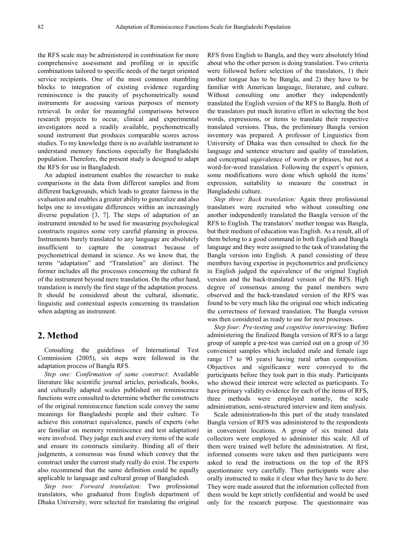the RFS scale may be administered in combination for more comprehensive assessment and profiling or in specific combinations tailored to specific needs of the target oriented service recipients. One of the most common stumbling blocks to integration of existing evidence regarding reminiscence is the paucity of psychometrically sound instruments for assessing various purposes of memory retrieval. In order for meaningful comparisons between research projects to occur, clinical and experimental investigators need a readily available, psychometrically sound instrument that produces comparable scores across studies. To my knowledge there is no available instrument to understand memory functions especially for Bangladeshi population. Therefore, the present study is designed to adapt the RFS for use in Bangladesh.

An adapted instrument enables the researcher to make comparisons in the data from different samples and from different backgrounds, which leads to greater fairness in the evaluation and enables a greater ability to generalize and also helps one to investigate differences within an increasingly diverse population [3, 7]. The steps of adaptation of an instrument intended to be used for measuring psychological constructs requires some very careful planning in process. Instruments barely translated to any language are absolutely insufficient to capture the construct because of psychometrical demand in science. As we know that, the terms "adaptation" and "Translation" are distinct. The former includes all the processes concerning the cultural fit of the instrument beyond mere translation. On the other hand, translation is merely the first stage of the adaptation process. It should be considered about the cultural, idiomatic, linguistic and contextual aspects concerning its translation when adapting an instrument.

#### **2. Method**

Consulting the guidelines of International Test Commission (2005), six steps were followed in the adaptation process of Bangla RFS.

*Step one: Confirmation of same construct*: Available literature like scientific journal articles, periodicals, books, and culturally adapted scales published on reminiscence functions were consulted to determine whether the constructs of the original reminiscence function scale convey the same meanings for Bangladeshi people and their culture. To achieve this construct equivalence, panels of experts (who are familiar on memory reminiscence and test adaptation) were involved. They judge each and every items of the scale and ensure its constructs similarity. Binding all of their judgments, a consensus was found which convey that the construct under the current study really do exist. The experts also recommend that the same definition could be equally applicable to language and cultural group of Bangladesh.

*Step two: Forward translation:* Two professional translators, who graduated from English department of Dhaka University, were selected for translating the original

RFS from English to Bangla, and they were absolutely blind about who the other person is doing translation. Two criteria were followed before selection of the translators, 1) their mother tongue has to be Bangla, and 2) they have to be familiar with American language, literature, and culture. Without consulting one another they independently translated the English version of the RFS to Bangla. Both of the translators put much iterative effort in selecting the best words, expressions, or items to translate their respective translated versions. Thus, the preliminary Bangla version inventory was prepared. A professor of Linguistics from University of Dhaka was then consulted to check for the language and sentence structure and quality of translation, and conceptual equivalence of words or phrases, but not a word-for-word translation. Following the expert's opinion, some modifications were done which uphold the items' expression, suitability to measure the construct in Bangladeshi culture.

*Step three: Back translation:* Again three professional translators were recruited who without consulting one another independently translated the Bangla version of the RFS to English. The translators' mother tongue was Bangla, but their medium of education was English. As a result, all of them belong to a good command in both English and Bangla language and they were assigned to the task of translating the Bangla version into English. A panel consisting of three members having expertise in psychometrics and proficiency in English judged the equivalence of the original English version and the back-translated version of the RFS. High degree of consensus among the panel members were observed and the back-translated version of the RFS was found to be very much like the original one which indicating the correctness of forward translation. The Bangla version was then considered as ready to use for next processes.

*Step four: Pre-testing and cognitive interviewing:* Before administering the finalized Bangla version of RFS to a large group of sample a pre-test was carried out on a group of 30 convenient samples which included male and female (age range 17 to 90 years) having rural urban composition. Objectives and significance were conveyed to the participants before they took part in this study. Participants who showed their interest were selected as participants. To have primary validity evidence for each of the items of RFS, three methods were employed namely, the scale administration, semi-structured interview and item analysis.

Scale administration**-**In this part of the study translated Bangla version of RFS was administered to the respondents in convenient locations. A group of six trained data collectors were employed to administer this scale. All of them were trained well before the administration. At first, informed consents were taken and then participants were asked to read the instructions on the top of the RFS questionnaire very carefully. Then participants were also orally instructed to make it clear what they have to do here. They were made assured that the information collected from them would be kept strictly confidential and would be used only for the research purpose. The questionnaire was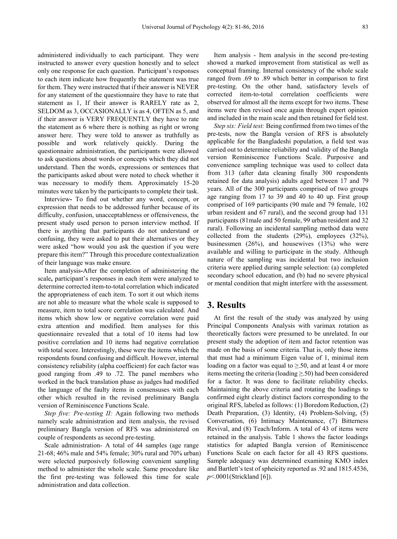administered individually to each participant. They were instructed to answer every question honestly and to select only one response for each question. Participant's responses to each item indicate how frequently the statement was true for them. They were instructed that if their answer is NEVER for any statement of the questionnaire they have to rate that statement as 1, If their answer is RARELY rate as 2, SELDOM as 3, OCCASIONALLY is as 4, OFTEN as 5, and if their answer is VERY FREQUENTLY they have to rate the statement as 6 where there is nothing as right or wrong answer here. They were told to answer as truthfully as possible and work relatively quickly. During the questionnaire administration, the participants were allowed to ask questions about words or concepts which they did not understand. Then the words, expressions or sentences that the participants asked about were noted to check whether it was necessary to modify them. Approximately 15-20 minutes were taken by the participants to complete their task.

Interview**-** To find out whether any word, concept, or expression that needs to be addressed further because of its difficulty, confusion, unacceptableness or offensiveness, the present study used person to person interview method. If there is anything that participants do not understand or confusing, they were asked to put their alternatives or they were asked "how would you ask the question if you were prepare this item?" Through this procedure contextualization of their language was make ensure.

Item analysis**-**After the completion of administering the scale**,** participant's responses in each item were analyzed to determine corrected item-to-total correlation which indicated the appropriateness of each item. To sort it out which items are not able to measure what the whole scale is supposed to measure, item to total score correlation was calculated. And items which show low or negative correlation were paid extra attention and modified. Item analyses for this questionnaire revealed that a total of 10 items had low positive correlation and 10 items had negative correlation with total score. Interestingly, these were the items which the respondents found confusing and difficult. However, internal consistency reliability (alpha coefficient) for each factor was good ranging from .49 to .72. The panel members who worked in the back translation phase as judges had modified the language of the faulty items in consensuses with each other which resulted in the revised preliminary Bangla version of Reminiscence Functions Scale.

*Step five: Pre-testing II:* Again following two methods namely scale administration and item analysis, the revised preliminary Bangla version of RFS was administered on couple of respondents as second pre-testing.

Scale administration- A total of 44 samples (age range 21-68; 46% male and 54% female; 30% rural and 70% urban) were selected purposively following convenient sampling method to administer the whole scale. Same procedure like the first pre-testing was followed this time for scale administration and data collection.

Item analysis - Item analysis in the second pre-testing showed a marked improvement from statistical as well as conceptual framing. Internal consistency of the whole scale ranged from .69 to .89 which better in comparison to first pre-testing. On the other hand, satisfactory levels of corrected item-to-total correlation coefficients were observed for almost all the items except for two items. These items were then revised once again through expert opinion and included in the main scale and then retained for field test.

*Step six: Field test:* Being confirmed from two times of the pre-tests, now the Bangla version of RFS is absolutely applicable for the Bangladeshi population, a field test was carried out to determine reliability and validity of the Bangla version Reminiscence Functions Scale. Purposive and convenience sampling technique was used to collect data from 313 (after data cleaning finally 300 respondents retained for data analysis) adults aged between 17 and 79 years. All of the 300 participants comprised of two groups age ranging from 17 to 39 and 40 to 40 up. First group comprised of 169 participants (90 male and 79 female, 102 urban resident and 67 rural), and the second group had 131 participants (81male and 50 female, 99 urban resident and 32 rural). Following an incidental sampling method data were collected from the students (29%), employees (32%), businessmen  $(26\%)$ , and housewives  $(13\%)$  who were available and willing to participate in the study. Although nature of the sampling was incidental but two inclusion criteria were applied during sample selection: (a) completed secondary school education, and (b) had no severe physical or mental condition that might interfere with the assessment.

#### **3. Results**

At first the result of the study was analyzed by using Principal Components Analysis with varimax rotation as theoretically factors were presumed to be unrelated. In our present study the adoption of item and factor retention was made on the basis of some criteria. That is, only those items that must had a minimum Eigen value of 1, minimal item loading on a factor was equal to  $\geq 50$ , and at least 4 or more items meeting the criteria (loading ≥.50) had been considered for a factor. It was done to facilitate reliability checks. Maintaining the above criteria and rotating the loadings to confirmed eight clearly distinct factors corresponding to the original RFS, labeled as follows: (1) Boredom Reduction, (2) Death Preparation, (3) Identity, (4) Problem-Solving, (5) Conversation, (6) Intimacy Maintenance, (7) Bitterness Revival, and (8) Teach/Inform. A total of 43 of items were retained in the analysis. Table 1 shows the factor loadings statistics for adapted Bangla version of Reminiscence Functions Scale on each factor for all 43 RFS questions. Sample adequacy was determined examining KMO index and Bartlett's test of spheicity reported as .92 and 1815.4536, *p*<.0001(Strickland [6]).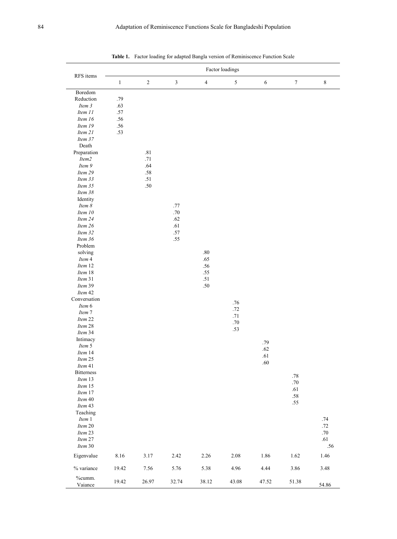|                   | Factor loadings |            |                             |            |            |            |                  |             |  |
|-------------------|-----------------|------------|-----------------------------|------------|------------|------------|------------------|-------------|--|
| RFS items         | $\,1$           | $\sqrt{2}$ | $\ensuremath{\mathfrak{Z}}$ | $\sqrt{4}$ | $\sqrt{5}$ | $\sqrt{6}$ | $\boldsymbol{7}$ | $\,$ 8 $\,$ |  |
| Boredom           |                 |            |                             |            |            |            |                  |             |  |
| Reduction         | .79             |            |                             |            |            |            |                  |             |  |
| Item 3            | .63             |            |                             |            |            |            |                  |             |  |
| Item 11           | $.57$           |            |                             |            |            |            |                  |             |  |
| Item 16           | .56             |            |                             |            |            |            |                  |             |  |
| Item 19           | .56             |            |                             |            |            |            |                  |             |  |
| Item 21           | .53             |            |                             |            |            |            |                  |             |  |
| Item 37           |                 |            |                             |            |            |            |                  |             |  |
| Death             |                 |            |                             |            |            |            |                  |             |  |
| Preparation       |                 | $.81\,$    |                             |            |            |            |                  |             |  |
| Item2             |                 | .71        |                             |            |            |            |                  |             |  |
| Item 9            |                 | .64        |                             |            |            |            |                  |             |  |
| Item 29           |                 | .58        |                             |            |            |            |                  |             |  |
| Item 33           |                 | .51        |                             |            |            |            |                  |             |  |
| Item 35           |                 | .50        |                             |            |            |            |                  |             |  |
| Item 38           |                 |            |                             |            |            |            |                  |             |  |
| Identity          |                 |            |                             |            |            |            |                  |             |  |
| Item 8            |                 |            | .77                         |            |            |            |                  |             |  |
| Item 10           |                 |            | $.70\,$                     |            |            |            |                  |             |  |
| Item 24           |                 |            | .62                         |            |            |            |                  |             |  |
| Item 26           |                 |            | .61                         |            |            |            |                  |             |  |
|                   |                 |            | $.57\,$                     |            |            |            |                  |             |  |
| Item 32           |                 |            | .55                         |            |            |            |                  |             |  |
| Item 36           |                 |            |                             |            |            |            |                  |             |  |
| Problem           |                 |            |                             |            |            |            |                  |             |  |
| solving           |                 |            |                             | $.80\,$    |            |            |                  |             |  |
| Item 4            |                 |            |                             | .65        |            |            |                  |             |  |
| Item 12           |                 |            |                             | .56        |            |            |                  |             |  |
| Item 18           |                 |            |                             | .55        |            |            |                  |             |  |
| Item 31           |                 |            |                             | .51        |            |            |                  |             |  |
| Item 39           |                 |            |                             | .50        |            |            |                  |             |  |
| Item 42           |                 |            |                             |            |            |            |                  |             |  |
| Conversation      |                 |            |                             |            | .76        |            |                  |             |  |
| Item 6            |                 |            |                             |            | $.72\,$    |            |                  |             |  |
| Item 7            |                 |            |                             |            | .71        |            |                  |             |  |
| Item 22           |                 |            |                             |            | $.70\,$    |            |                  |             |  |
| Item 28           |                 |            |                             |            | .53        |            |                  |             |  |
| Item 34           |                 |            |                             |            |            |            |                  |             |  |
| Intimacy          |                 |            |                             |            |            | .79        |                  |             |  |
| Item 5            |                 |            |                             |            |            | $.62\,$    |                  |             |  |
| Item 14           |                 |            |                             |            |            | .61        |                  |             |  |
| Item $25$         |                 |            |                             |            |            | $.60\,$    |                  |             |  |
| Item 41           |                 |            |                             |            |            |            |                  |             |  |
| <b>Bitterness</b> |                 |            |                             |            |            |            | $.78\,$          |             |  |
| Item 13           |                 |            |                             |            |            |            | $.70\,$          |             |  |
| Item 15           |                 |            |                             |            |            |            | .61              |             |  |
| Item 17           |                 |            |                             |            |            |            | $.58\,$          |             |  |
| Item 40           |                 |            |                             |            |            |            | $.55$            |             |  |
| Item 43           |                 |            |                             |            |            |            |                  |             |  |
| Teaching          |                 |            |                             |            |            |            |                  |             |  |
| Item 1            |                 |            |                             |            |            |            |                  | $.74\,$     |  |
| Item $20$         |                 |            |                             |            |            |            |                  | .72         |  |
| Item 23           |                 |            |                             |            |            |            |                  | $.70\,$     |  |
| Item 27           |                 |            |                             |            |            |            |                  | .61         |  |
| Item $30$         |                 |            |                             |            |            |            |                  | .56         |  |
| Eigenvalue        | 8.16            | 3.17       | 2.42                        | 2.26       | $2.08\,$   | 1.86       | $1.62\,$         | 1.46        |  |
| % variance        | 19.42           | 7.56       | 5.76                        | 5.38       | 4.96       | 4.44       | 3.86             | 3.48        |  |
| %cumm.            |                 |            |                             |            |            |            |                  |             |  |
| Vaiance           | 19.42           | 26.97      | 32.74                       | 38.12      | 43.08      | 47.52      | 51.38            | 54.86       |  |

**Table 1.** Factor loading for adapted Bangla version of Reminiscence Function Scale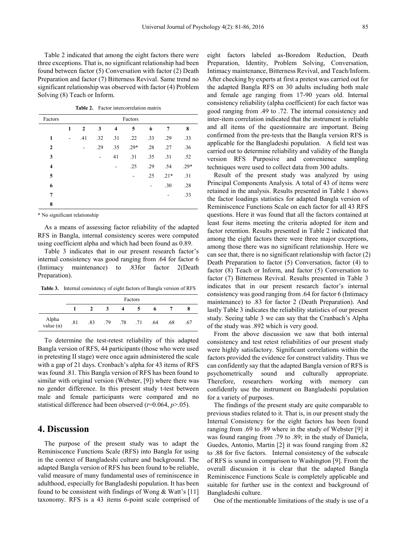Table 2 indicated that among the eight factors there were three exceptions. That is, no significant relationship had been found between factor (5) Conversation with factor (2) Death Preparation and factor (7) Bitterness Revival. Same trend no significant relationship was observed with factor (4) Problem Solving (8) Teach or Inform.

| Factors        | Factors        |                |     |                         |        |     |        |        |  |
|----------------|----------------|----------------|-----|-------------------------|--------|-----|--------|--------|--|
|                | 1              | $\overline{2}$ | 3   | $\overline{\mathbf{4}}$ | 5      | 6   | 7      | 8      |  |
| 1              | $\blacksquare$ | .41            | .32 | .31                     | .22    | .33 | .29    | .33    |  |
| $\overline{2}$ |                | ۰              | .29 | .35                     | $.29*$ | .28 | .27    | .36    |  |
| 3              |                |                | ۰   | 41                      | .31    | .35 | .31    | .52    |  |
| 4              |                |                |     |                         | .25    | .29 | .54    | $.29*$ |  |
| 5              |                |                |     |                         |        | .25 | $.21*$ | .31    |  |
| 6              |                |                |     |                         |        |     | .30    | .28    |  |
| 7              |                |                |     |                         |        |     |        | .33    |  |
| 8              |                |                |     |                         |        |     |        |        |  |

**Table 2.** Factor intercorrelation matrix

\* No significant relationship

As a means of assessing factor reliability of the adapted RFS in Bangla, internal consistency scores were computed using coefficient alpha and which had been found as 0.89.

Table 3 indicates that in our present research factor's internal consistency was good ranging from .64 for factor 6 (Intimacy maintenance) to .83for factor 2(Death Preparation).

**Table 3.** Internal consistency of eight factors of Bangla version of RFS

|                           | Factors |     |     |     |     |     |     |     |
|---------------------------|---------|-----|-----|-----|-----|-----|-----|-----|
|                           |         |     | 3   | 4   |     | 6   |     | 8   |
| Alpha<br>value $(\alpha)$ | .81     | .83 | .79 | .78 | .71 | .64 | .68 | .67 |

To determine the test-retest reliability of this adapted Bangla version of RFS, 44 participants (those who were used in pretesting II stage) were once again administered the scale with a gap of 21 days. Cronbach's alpha for 43 items of RFS was found .81. This Bangla version of RFS has been found to similar with original version (Webster, [9]) where there was no gender difference. In this present study t-test between male and female participants were compared and no statistical difference had been observed (*t*=0.064, *p*>.05).

### **4. Discussion**

The purpose of the present study was to adapt the Reminiscence Functions Scale (RFS) into Bangla for using in the context of Bangladeshi culture and background. The adapted Bangla version of RFS has been found to be reliable, valid measure of many fundamental uses of reminiscence in adulthood, especially for Bangladeshi population. It has been found to be consistent with findings of Wong  $\&$  Watt's [11] taxonomy. RFS is a 43 items 6-point scale comprised of

eight factors labeled as-Boredom Reduction, Death Preparation, Identity, Problem Solving, Conversation, Intimacy maintenance, Bitterness Revival, and Teach/Inform. After checking by experts at first a pretest was carried out for the adapted Bangla RFS on 30 adults including both male and female age ranging from 17-90 years old. Internal consistency reliability (alpha coefficient) for each factor was good ranging from .49 to .72. The internal consistency and inter-item correlation indicated that the instrument is reliable and all items of the questionnaire are important. Being confirmed from the pre-tests that the Bangla version RFS is applicable for the Bangladeshi population. A field test was carried out to determine reliability and validity of the Bangla version RFS Purposive and convenience sampling techniques were used to collect data from 300 adults.

Result of the present study was analyzed by using Principal Components Analysis. A total of 43 of items were retained in the analysis. Results presented in Table 1 shows the factor loadings statistics for adapted Bangla version of Reminiscence Functions Scale on each factor for all 43 RFS questions. Here it was found that all the factors contained at least four items meeting the criteria adopted for item and factor retention. Results presented in Table 2 indicated that among the eight factors there were three major exceptions, among those there was no significant relationship. Here we can see that, there is no significant relationship with factor (2) Death Preparation to factor (5) Conversation, factor (4) to factor (8) Teach or Inform, and factor (5) Conversation to factor (7) Bitterness Revival. Results presented in Table 3 indicates that in our present research factor's internal consistency was good ranging from .64 for factor 6 (Intimacy maintenance) to .83 for factor 2 (Death Preparation). And lastly Table 3 indicates the reliability statistics of our present study. Seeing table 3 we can say that the Cranbach's Alpha of the study was .892 which is very good.

From the above discussion we saw that both internal consistency and test retest reliabilities of our present study were highly satisfactory. Significant correlations within the factors provided the evidence for construct validity. Thus we can confidently say that the adapted Bangla version of RFS is psychometrically sound and culturally appropriate. Therefore, researchers working with memory can confidently use the instrument on Bangladeshi population for a variety of purposes.

The findings of the present study are quite comparable to previous studies related to it. That is, in our present study the Internal Consistency for the eight factors has been found ranging from .69 to .89 where in the study of Webster [9] it was found ranging from .79 to .89; in the study of Daniela, Guedes, Antonio, Martin [2] it was found ranging from .82 to .88 for five factors. Internal consistency of the subscale of RFS is sound in comparison to Washington [9]. From the overall discussion it is clear that the adapted Bangla Reminiscence Functions Scale is completely applicable and suitable for further use in the context and background of Bangladeshi culture.

One of the mentionable limitations of the study is use of a